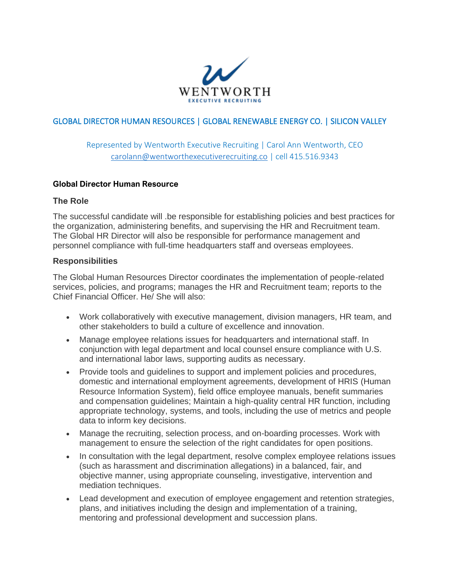

## GLOBAL DIRECTOR HUMAN RESOURCES | GLOBAL RENEWABLE ENERGY CO. | SILICON VALLEY

# Represented by Wentworth Executive Recruiting | Carol Ann Wentworth, CEO [carolann@wentworthexecutiverecruiting.co](mailto:carolann@wentworthexecutiverecruiting.co) | cell 415.516.9343

#### **Global Director Human Resource**

#### **The Role**

The successful candidate will .be responsible for establishing policies and best practices for the organization, administering benefits, and supervising the HR and Recruitment team. The Global HR Director will also be responsible for performance management and personnel compliance with full-time headquarters staff and overseas employees.

#### **Responsibilities**

The Global Human Resources Director coordinates the implementation of people-related services, policies, and programs; manages the HR and Recruitment team; reports to the Chief Financial Officer. He/ She will also:

- Work collaboratively with executive management, division managers, HR team, and other stakeholders to build a culture of excellence and innovation.
- Manage employee relations issues for headquarters and international staff. In conjunction with legal department and local counsel ensure compliance with U.S. and international labor laws, supporting audits as necessary.
- Provide tools and guidelines to support and implement policies and procedures, domestic and international employment agreements, development of HRIS (Human Resource Information System), field office employee manuals, benefit summaries and compensation guidelines; Maintain a high-quality central HR function, including appropriate technology, systems, and tools, including the use of metrics and people data to inform key decisions.
- Manage the recruiting, selection process, and on-boarding processes. Work with management to ensure the selection of the right candidates for open positions.
- In consultation with the legal department, resolve complex employee relations issues (such as harassment and discrimination allegations) in a balanced, fair, and objective manner, using appropriate counseling, investigative, intervention and mediation techniques.
- Lead development and execution of employee engagement and retention strategies, plans, and initiatives including the design and implementation of a training, mentoring and professional development and succession plans.